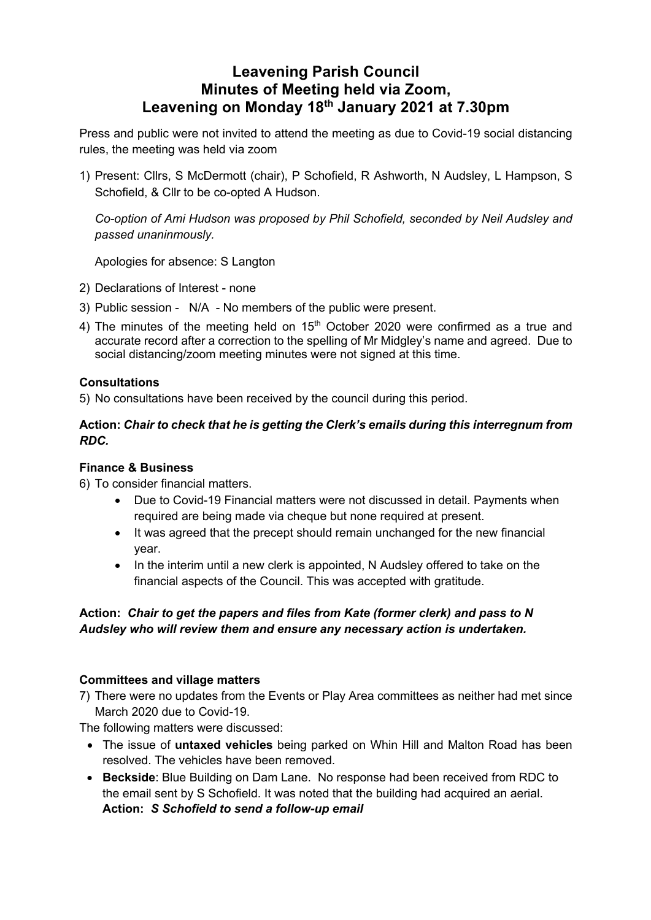# **Leavening Parish Council Minutes of Meeting held via Zoom, Leavening on Monday 18th January 2021 at 7.30pm**

Press and public were not invited to attend the meeting as due to Covid-19 social distancing rules, the meeting was held via zoom

1) Present: Cllrs, S McDermott (chair), P Schofield, R Ashworth, N Audsley, L Hampson, S Schofield, & Cllr to be co-opted A Hudson.

*Co-option of Ami Hudson was proposed by Phil Schofield, seconded by Neil Audsley and passed unaninmously.*

Apologies for absence: S Langton

- 2) Declarations of Interest none
- 3) Public session N/A No members of the public were present.
- 4) The minutes of the meeting held on  $15<sup>th</sup>$  October 2020 were confirmed as a true and accurate record after a correction to the spelling of Mr Midgley's name and agreed. Due to social distancing/zoom meeting minutes were not signed at this time.

## **Consultations**

5) No consultations have been received by the council during this period.

### **Action:** *Chair to check that he is getting the Clerk's emails during this interregnum from RDC.*

#### **Finance & Business**

6) To consider financial matters.

- Due to Covid-19 Financial matters were not discussed in detail. Payments when required are being made via cheque but none required at present.
- It was agreed that the precept should remain unchanged for the new financial year.
- In the interim until a new clerk is appointed, N Audsley offered to take on the financial aspects of the Council. This was accepted with gratitude.

## **Action:** *Chair to get the papers and files from Kate (former clerk) and pass to N Audsley who will review them and ensure any necessary action is undertaken.*

#### **Committees and village matters**

7) There were no updates from the Events or Play Area committees as neither had met since March 2020 due to Covid-19.

The following matters were discussed:

- The issue of **untaxed vehicles** being parked on Whin Hill and Malton Road has been resolved. The vehicles have been removed.
- **Beckside**: Blue Building on Dam Lane. No response had been received from RDC to the email sent by S Schofield. It was noted that the building had acquired an aerial. **Action:** *S Schofield to send a follow-up email*